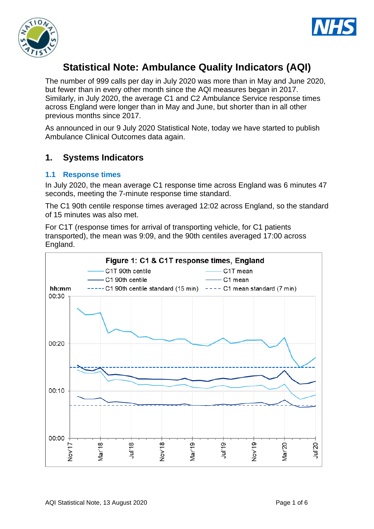



# **Statistical Note: Ambulance Quality Indicators (AQI)**

The number of 999 calls per day in July 2020 was more than in May and June 2020, but fewer than in every other month since the AQI measures began in 2017. Similarly, in July 2020, the average C1 and C2 Ambulance Service response times across England were longer than in May and June, but shorter than in all other previous months since 2017.

As announced in our 9 July 2020 Statistical Note, today we have started to publish Ambulance Clinical Outcomes data again.

# **1. Systems Indicators**

#### **1.1 Response times**

In July 2020, the mean average C1 response time across England was 6 minutes 47 seconds, meeting the 7-minute response time standard.

The C1 90th centile response times averaged 12:02 across England, so the standard of 15 minutes was also met.

For C1T (response times for arrival of transporting vehicle, for C1 patients transported), the mean was 9:09, and the 90th centiles averaged 17:00 across England.

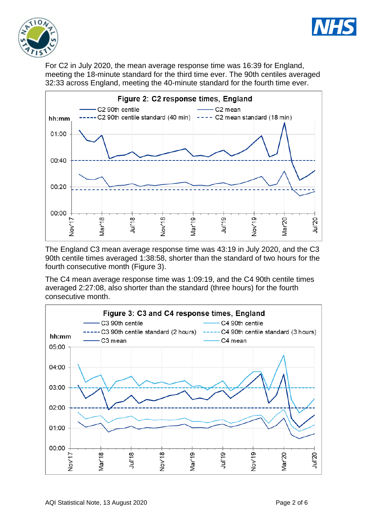



For C2 in July 2020, the mean average response time was 16:39 for England, meeting the 18-minute standard for the third time ever. The 90th centiles averaged 32:33 across England, meeting the 40-minute standard for the fourth time ever.



The England C3 mean average response time was 43:19 in July 2020, and the C3 90th centile times averaged 1:38:58, shorter than the standard of two hours for the fourth consecutive month (Figure 3).

The C4 mean average response time was 1:09:19, and the C4 90th centile times averaged 2:27:08, also shorter than the standard (three hours) for the fourth consecutive month.

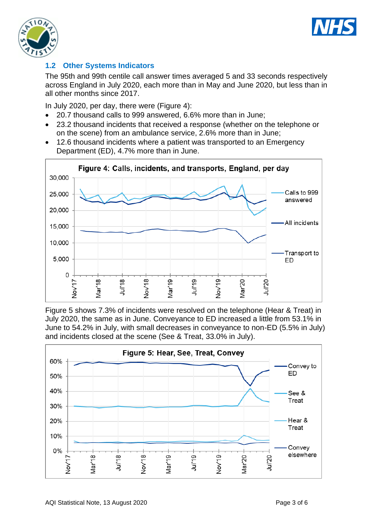



# **1.2 Other Systems Indicators**

The 95th and 99th centile call answer times averaged 5 and 33 seconds respectively across England in July 2020, each more than in May and June 2020, but less than in all other months since 2017.

In July 2020, per day, there were (Figure 4):

- 20.7 thousand calls to 999 answered, 6.6% more than in June;
- 23.2 thousand incidents that received a response (whether on the telephone or on the scene) from an ambulance service, 2.6% more than in June;
- 12.6 thousand incidents where a patient was transported to an Emergency Department (ED), 4.7% more than in June.



Figure 5 shows 7.3% of incidents were resolved on the telephone (Hear & Treat) in July 2020, the same as in June. Conveyance to ED increased a little from 53.1% in June to 54.2% in July, with small decreases in conveyance to non-ED (5.5% in July) and incidents closed at the scene (See & Treat, 33.0% in July).

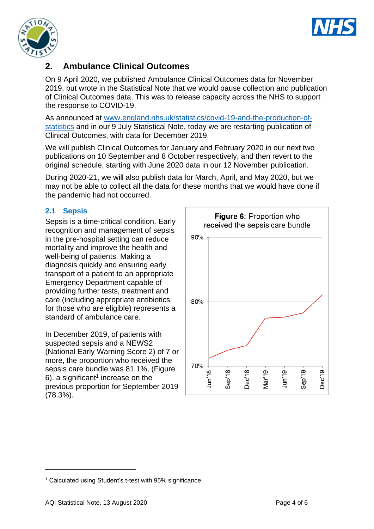



# **2. Ambulance Clinical Outcomes**

On 9 April 2020, we published Ambulance Clinical Outcomes data for November 2019, but wrote in the Statistical Note that we would pause collection and publication of Clinical Outcomes data. This was to release capacity across the NHS to support the response to COVID-19.

As announced at [www.england.nhs.uk/statistics/covid-19-and-the-production-of](https://www.england.nhs.uk/statistics/covid-19-and-the-production-of-statistics/)[statistics](https://www.england.nhs.uk/statistics/covid-19-and-the-production-of-statistics/) and in our 9 July Statistical Note, today we are restarting publication of Clinical Outcomes, with data for December 2019.

We will publish Clinical Outcomes for January and February 2020 in our next two publications on 10 September and 8 October respectively, and then revert to the original schedule, starting with June 2020 data in our 12 November publication.

During 2020-21, we will also publish data for March, April, and May 2020, but we may not be able to collect all the data for these months that we would have done if the pandemic had not occurred.

## **2.1 Sepsis**

Sepsis is a time-critical condition. Early recognition and management of sepsis in the pre-hospital setting can reduce mortality and improve the health and well-being of patients. Making a diagnosis quickly and ensuring early transport of a patient to an appropriate Emergency Department capable of providing further tests, treatment and care (including appropriate antibiotics for those who are eligible) represents a standard of ambulance care.

In December 2019, of patients with suspected sepsis and a NEWS2 (National Early Warning Score 2) of 7 or more, the proportion who received the sepsis care bundle was 81.1%, (Figure 6), a significant<sup>1</sup> increase on the previous proportion for September 2019 (78.3%).



<sup>&</sup>lt;sup>1</sup> Calculated using Student's t-test with 95% significance.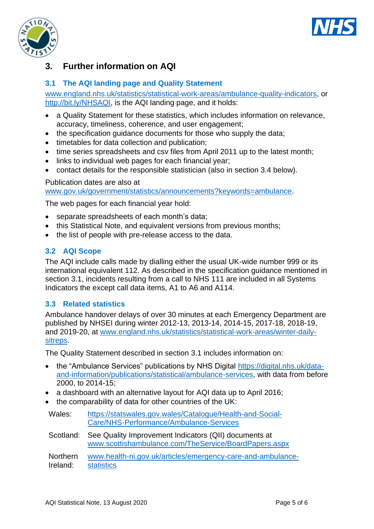



# **3. Further information on AQI**

### **3.1 The AQI landing page and Quality Statement**

[www.england.nhs.uk/statistics/statistical-work-areas/ambulance-quality-indicators,](http://www.england.nhs.uk/statistics/statistical-work-areas/ambulance-quality-indicators) or [http://bit.ly/NHSAQI,](http://bit.ly/NHSAQI) is the AQI landing page, and it holds:

- a Quality Statement for these statistics, which includes information on relevance, accuracy, timeliness, coherence, and user engagement;
- the specification guidance documents for those who supply the data;
- timetables for data collection and publication;
- time series spreadsheets and csv files from April 2011 up to the latest month;
- links to individual web pages for each financial year;
- contact details for the responsible statistician (also in section 3.4 below).

#### Publication dates are also at

[www.gov.uk/government/statistics/announcements?keywords=ambulance.](http://www.gov.uk/government/statistics/announcements?keywords=ambulance)

The web pages for each financial year hold:

- separate spreadsheets of each month's data;
- this Statistical Note, and equivalent versions from previous months;
- the list of people with pre-release access to the data.

#### **3.2 AQI Scope**

The AQI include calls made by dialling either the usual UK-wide number 999 or its international equivalent 112. As described in the specification guidance mentioned in section 3.1, incidents resulting from a call to NHS 111 are included in all Systems Indicators the except call data items, A1 to A6 and A114.

#### **3.3 Related statistics**

Ambulance handover delays of over 30 minutes at each Emergency Department are published by NHSEI during winter 2012-13, 2013-14, 2014-15, 2017-18, 2018-19, and 2019-20, at [www.england.nhs.uk/statistics/statistical-work-areas/winter-daily](http://www.england.nhs.uk/statistics/statistical-work-areas/winter-daily-sitreps)[sitreps.](http://www.england.nhs.uk/statistics/statistical-work-areas/winter-daily-sitreps)

The Quality Statement described in section 3.1 includes information on:

- the "Ambulance Services" publications by NHS Digital [https://digital.nhs.uk/data](https://digital.nhs.uk/data-and-information/publications/statistical/ambulance-services)[and-information/publications/statistical/ambulance-services,](https://digital.nhs.uk/data-and-information/publications/statistical/ambulance-services) with data from before 2000, to 2014-15;
- a dashboard with an alternative layout for AQI data up to April 2016;
- the comparability of data for other countries of the UK:

| Wales: | https://statswales.gov.wales/Catalogue/Health-and-Social- |
|--------|-----------------------------------------------------------|
|        | Care/NHS-Performance/Ambulance-Services                   |

Scotland: See Quality Improvement Indicators (QII) documents at [www.scottishambulance.com/TheService/BoardPapers.aspx](http://www.scottishambulance.com/TheService/BoardPapers.aspx)

Northern Ireland: [www.health-ni.gov.uk/articles/emergency-care-and-ambulance](http://www.health-ni.gov.uk/articles/emergency-care-and-ambulance-statistics)[statistics](http://www.health-ni.gov.uk/articles/emergency-care-and-ambulance-statistics)